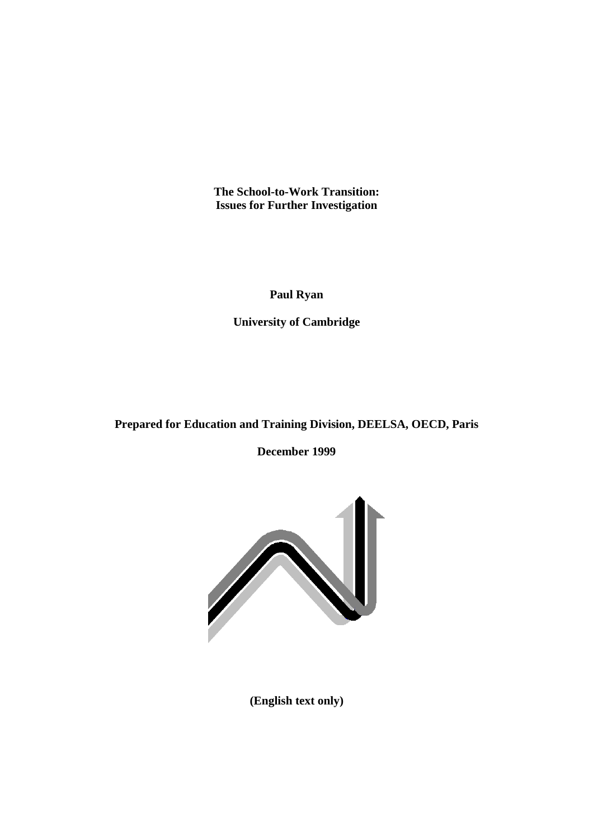**The School-to-Work Transition: Issues for Further Investigation**

**Paul Ryan**

**University of Cambridge**

# **Prepared for Education and Training Division, DEELSA, OECD, Paris**

**December 1999**



**(English text only)**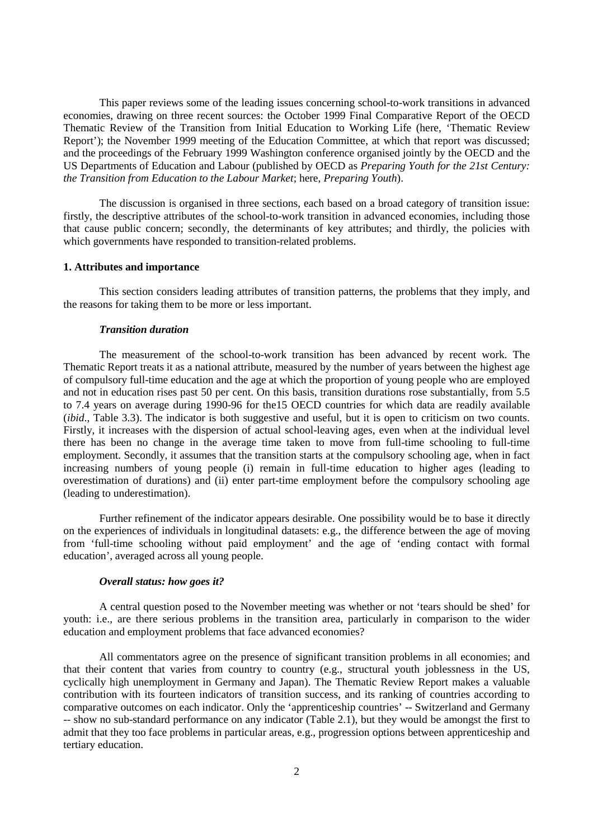This paper reviews some of the leading issues concerning school-to-work transitions in advanced economies, drawing on three recent sources: the October 1999 Final Comparative Report of the OECD Thematic Review of the Transition from Initial Education to Working Life (here, 'Thematic Review Report'); the November 1999 meeting of the Education Committee, at which that report was discussed; and the proceedings of the February 1999 Washington conference organised jointly by the OECD and the US Departments of Education and Labour (published by OECD as *Preparing Youth for the 21st Century: the Transition from Education to the Labour Market*; here, *Preparing Youth*).

The discussion is organised in three sections, each based on a broad category of transition issue: firstly, the descriptive attributes of the school-to-work transition in advanced economies, including those that cause public concern; secondly, the determinants of key attributes; and thirdly, the policies with which governments have responded to transition-related problems.

# **1. Attributes and importance**

This section considers leading attributes of transition patterns, the problems that they imply, and the reasons for taking them to be more or less important.

#### *Transition duration*

The measurement of the school-to-work transition has been advanced by recent work. The Thematic Report treats it as a national attribute, measured by the number of years between the highest age of compulsory full-time education and the age at which the proportion of young people who are employed and not in education rises past 50 per cent. On this basis, transition durations rose substantially, from 5.5 to 7.4 years on average during 1990-96 for the15 OECD countries for which data are readily available (*ibid.*, Table 3.3). The indicator is both suggestive and useful, but it is open to criticism on two counts. Firstly, it increases with the dispersion of actual school-leaving ages, even when at the individual level there has been no change in the average time taken to move from full-time schooling to full-time employment. Secondly, it assumes that the transition starts at the compulsory schooling age, when in fact increasing numbers of young people (i) remain in full-time education to higher ages (leading to overestimation of durations) and (ii) enter part-time employment before the compulsory schooling age (leading to underestimation).

Further refinement of the indicator appears desirable. One possibility would be to base it directly on the experiences of individuals in longitudinal datasets: e.g., the difference between the age of moving from 'full-time schooling without paid employment' and the age of 'ending contact with formal education', averaged across all young people.

## *Overall status: how goes it?*

A central question posed to the November meeting was whether or not 'tears should be shed' for youth: i.e., are there serious problems in the transition area, particularly in comparison to the wider education and employment problems that face advanced economies?

All commentators agree on the presence of significant transition problems in all economies; and that their content that varies from country to country (e.g., structural youth joblessness in the US, cyclically high unemployment in Germany and Japan). The Thematic Review Report makes a valuable contribution with its fourteen indicators of transition success, and its ranking of countries according to comparative outcomes on each indicator. Only the 'apprenticeship countries' -- Switzerland and Germany -- show no sub-standard performance on any indicator (Table 2.1), but they would be amongst the first to admit that they too face problems in particular areas, e.g., progression options between apprenticeship and tertiary education.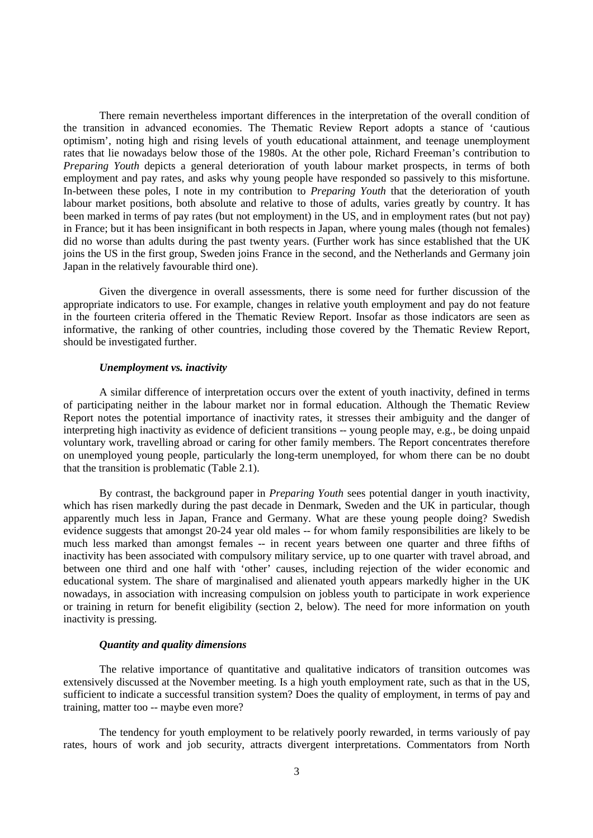There remain nevertheless important differences in the interpretation of the overall condition of the transition in advanced economies. The Thematic Review Report adopts a stance of 'cautious optimism', noting high and rising levels of youth educational attainment, and teenage unemployment rates that lie nowadays below those of the 1980s. At the other pole, Richard Freeman's contribution to *Preparing Youth* depicts a general deterioration of youth labour market prospects, in terms of both employment and pay rates, and asks why young people have responded so passively to this misfortune. In-between these poles, I note in my contribution to *Preparing Youth* that the deterioration of youth labour market positions, both absolute and relative to those of adults, varies greatly by country. It has been marked in terms of pay rates (but not employment) in the US, and in employment rates (but not pay) in France; but it has been insignificant in both respects in Japan, where young males (though not females) did no worse than adults during the past twenty years. (Further work has since established that the UK joins the US in the first group, Sweden joins France in the second, and the Netherlands and Germany join Japan in the relatively favourable third one).

Given the divergence in overall assessments, there is some need for further discussion of the appropriate indicators to use. For example, changes in relative youth employment and pay do not feature in the fourteen criteria offered in the Thematic Review Report. Insofar as those indicators are seen as informative, the ranking of other countries, including those covered by the Thematic Review Report, should be investigated further.

## *Unemployment vs. inactivity*

A similar difference of interpretation occurs over the extent of youth inactivity, defined in terms of participating neither in the labour market nor in formal education. Although the Thematic Review Report notes the potential importance of inactivity rates, it stresses their ambiguity and the danger of interpreting high inactivity as evidence of deficient transitions -- young people may, e.g., be doing unpaid voluntary work, travelling abroad or caring for other family members. The Report concentrates therefore on unemployed young people, particularly the long-term unemployed, for whom there can be no doubt that the transition is problematic (Table 2.1).

By contrast, the background paper in *Preparing Youth* sees potential danger in youth inactivity, which has risen markedly during the past decade in Denmark, Sweden and the UK in particular, though apparently much less in Japan, France and Germany. What are these young people doing? Swedish evidence suggests that amongst 20-24 year old males -- for whom family responsibilities are likely to be much less marked than amongst females -- in recent years between one quarter and three fifths of inactivity has been associated with compulsory military service, up to one quarter with travel abroad, and between one third and one half with 'other' causes, including rejection of the wider economic and educational system. The share of marginalised and alienated youth appears markedly higher in the UK nowadays, in association with increasing compulsion on jobless youth to participate in work experience or training in return for benefit eligibility (section 2, below). The need for more information on youth inactivity is pressing.

#### *Quantity and quality dimensions*

The relative importance of quantitative and qualitative indicators of transition outcomes was extensively discussed at the November meeting. Is a high youth employment rate, such as that in the US, sufficient to indicate a successful transition system? Does the quality of employment, in terms of pay and training, matter too -- maybe even more?

The tendency for youth employment to be relatively poorly rewarded, in terms variously of pay rates, hours of work and job security, attracts divergent interpretations. Commentators from North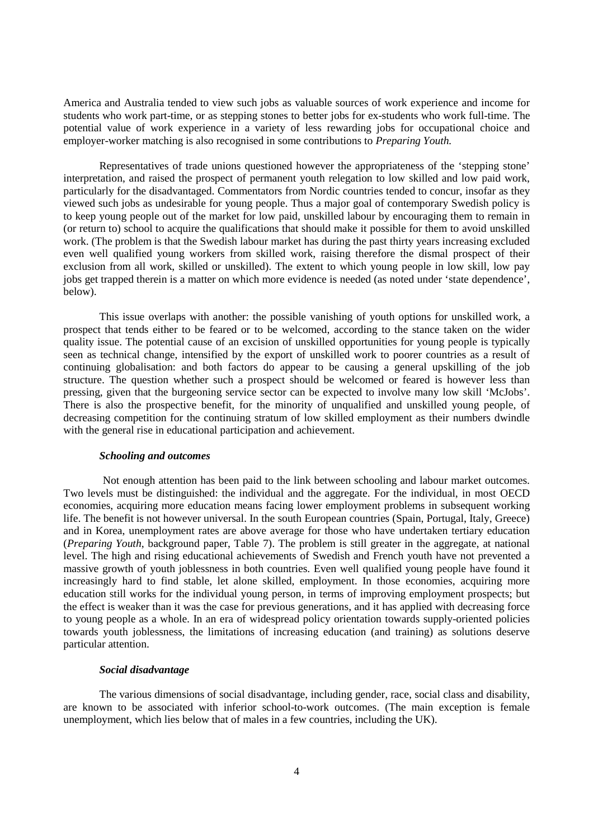America and Australia tended to view such jobs as valuable sources of work experience and income for students who work part-time, or as stepping stones to better jobs for ex-students who work full-time. The potential value of work experience in a variety of less rewarding jobs for occupational choice and employer-worker matching is also recognised in some contributions to *Preparing Youth.*

Representatives of trade unions questioned however the appropriateness of the 'stepping stone' interpretation, and raised the prospect of permanent youth relegation to low skilled and low paid work, particularly for the disadvantaged. Commentators from Nordic countries tended to concur, insofar as they viewed such jobs as undesirable for young people. Thus a major goal of contemporary Swedish policy is to keep young people out of the market for low paid, unskilled labour by encouraging them to remain in (or return to) school to acquire the qualifications that should make it possible for them to avoid unskilled work. (The problem is that the Swedish labour market has during the past thirty years increasing excluded even well qualified young workers from skilled work, raising therefore the dismal prospect of their exclusion from all work, skilled or unskilled). The extent to which young people in low skill, low pay jobs get trapped therein is a matter on which more evidence is needed (as noted under 'state dependence', below).

This issue overlaps with another: the possible vanishing of youth options for unskilled work, a prospect that tends either to be feared or to be welcomed, according to the stance taken on the wider quality issue. The potential cause of an excision of unskilled opportunities for young people is typically seen as technical change, intensified by the export of unskilled work to poorer countries as a result of continuing globalisation: and both factors do appear to be causing a general upskilling of the job structure. The question whether such a prospect should be welcomed or feared is however less than pressing, given that the burgeoning service sector can be expected to involve many low skill 'McJobs'. There is also the prospective benefit, for the minority of unqualified and unskilled young people, of decreasing competition for the continuing stratum of low skilled employment as their numbers dwindle with the general rise in educational participation and achievement.

#### *Schooling and outcomes*

 Not enough attention has been paid to the link between schooling and labour market outcomes. Two levels must be distinguished: the individual and the aggregate. For the individual, in most OECD economies, acquiring more education means facing lower employment problems in subsequent working life. The benefit is not however universal. In the south European countries (Spain, Portugal, Italy, Greece) and in Korea, unemployment rates are above average for those who have undertaken tertiary education (*Preparing Youth*, background paper, Table 7). The problem is still greater in the aggregate, at national level. The high and rising educational achievements of Swedish and French youth have not prevented a massive growth of youth joblessness in both countries. Even well qualified young people have found it increasingly hard to find stable, let alone skilled, employment. In those economies, acquiring more education still works for the individual young person, in terms of improving employment prospects; but the effect is weaker than it was the case for previous generations, and it has applied with decreasing force to young people as a whole. In an era of widespread policy orientation towards supply-oriented policies towards youth joblessness, the limitations of increasing education (and training) as solutions deserve particular attention.

## *Social disadvantage*

The various dimensions of social disadvantage, including gender, race, social class and disability, are known to be associated with inferior school-to-work outcomes. (The main exception is female unemployment, which lies below that of males in a few countries, including the UK).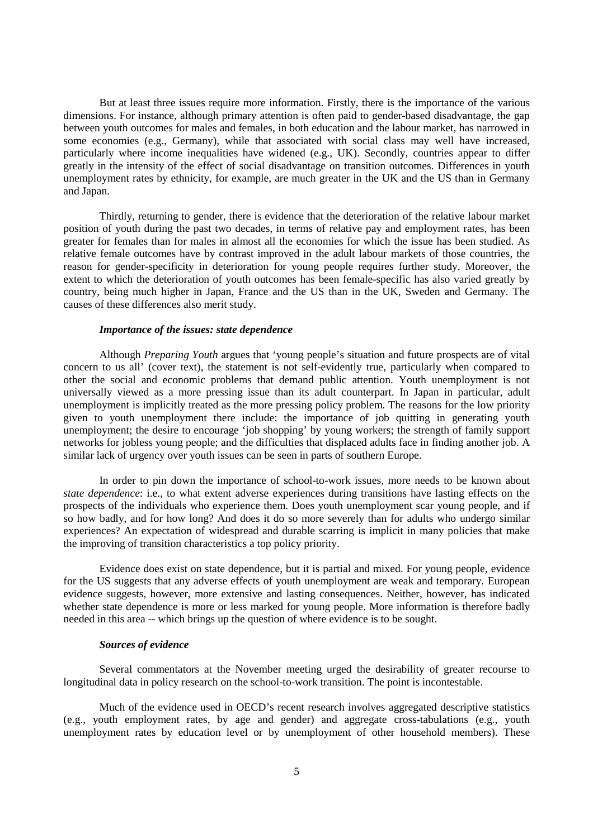But at least three issues require more information. Firstly, there is the importance of the various dimensions. For instance, although primary attention is often paid to gender-based disadvantage, the gap between youth outcomes for males and females, in both education and the labour market, has narrowed in some economies (e.g., Germany), while that associated with social class may well have increased, particularly where income inequalities have widened (e.g., UK). Secondly, countries appear to differ greatly in the intensity of the effect of social disadvantage on transition outcomes. Differences in youth unemployment rates by ethnicity, for example, are much greater in the UK and the US than in Germany and Japan.

Thirdly, returning to gender, there is evidence that the deterioration of the relative labour market position of youth during the past two decades, in terms of relative pay and employment rates, has been greater for females than for males in almost all the economies for which the issue has been studied. As relative female outcomes have by contrast improved in the adult labour markets of those countries, the reason for gender-specificity in deterioration for young people requires further study. Moreover, the extent to which the deterioration of youth outcomes has been female-specific has also varied greatly by country, being much higher in Japan, France and the US than in the UK, Sweden and Germany. The causes of these differences also merit study.

## *Importance of the issues: state dependence*

Although *Preparing Youth* argues that 'young people's situation and future prospects are of vital concern to us all' (cover text), the statement is not self-evidently true, particularly when compared to other the social and economic problems that demand public attention. Youth unemployment is not universally viewed as a more pressing issue than its adult counterpart. In Japan in particular, adult unemployment is implicitly treated as the more pressing policy problem. The reasons for the low priority given to youth unemployment there include: the importance of job quitting in generating youth unemployment; the desire to encourage 'job shopping' by young workers; the strength of family support networks for jobless young people; and the difficulties that displaced adults face in finding another job. A similar lack of urgency over youth issues can be seen in parts of southern Europe.

In order to pin down the importance of school-to-work issues, more needs to be known about *state dependence*: i.e., to what extent adverse experiences during transitions have lasting effects on the prospects of the individuals who experience them. Does youth unemployment scar young people, and if so how badly, and for how long? And does it do so more severely than for adults who undergo similar experiences? An expectation of widespread and durable scarring is implicit in many policies that make the improving of transition characteristics a top policy priority.

Evidence does exist on state dependence, but it is partial and mixed. For young people, evidence for the US suggests that any adverse effects of youth unemployment are weak and temporary. European evidence suggests, however, more extensive and lasting consequences. Neither, however, has indicated whether state dependence is more or less marked for young people. More information is therefore badly needed in this area -- which brings up the question of where evidence is to be sought.

## *Sources of evidence*

Several commentators at the November meeting urged the desirability of greater recourse to longitudinal data in policy research on the school-to-work transition. The point is incontestable.

Much of the evidence used in OECD's recent research involves aggregated descriptive statistics (e.g., youth employment rates, by age and gender) and aggregate cross-tabulations (e.g., youth unemployment rates by education level or by unemployment of other household members). These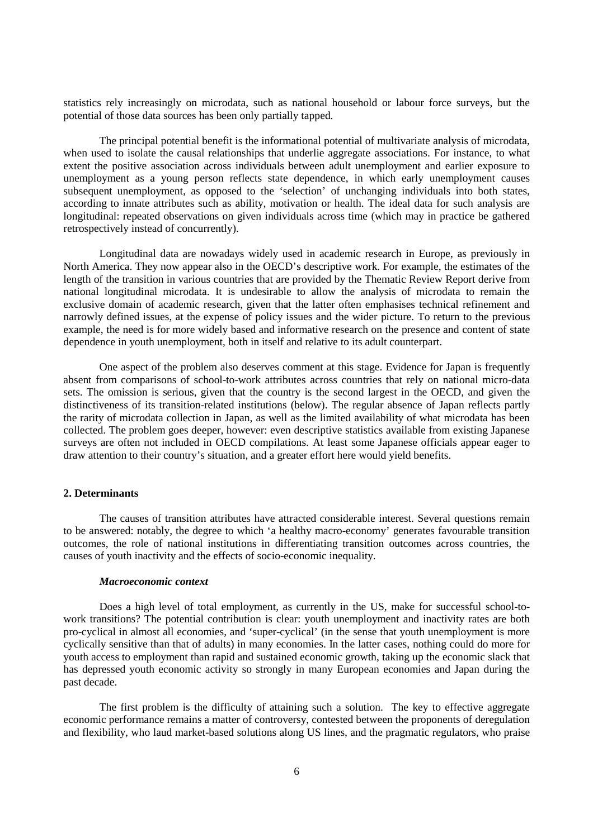statistics rely increasingly on microdata, such as national household or labour force surveys, but the potential of those data sources has been only partially tapped.

The principal potential benefit is the informational potential of multivariate analysis of microdata, when used to isolate the causal relationships that underlie aggregate associations. For instance, to what extent the positive association across individuals between adult unemployment and earlier exposure to unemployment as a young person reflects state dependence, in which early unemployment causes subsequent unemployment, as opposed to the 'selection' of unchanging individuals into both states, according to innate attributes such as ability, motivation or health. The ideal data for such analysis are longitudinal: repeated observations on given individuals across time (which may in practice be gathered retrospectively instead of concurrently).

Longitudinal data are nowadays widely used in academic research in Europe, as previously in North America. They now appear also in the OECD's descriptive work. For example, the estimates of the length of the transition in various countries that are provided by the Thematic Review Report derive from national longitudinal microdata. It is undesirable to allow the analysis of microdata to remain the exclusive domain of academic research, given that the latter often emphasises technical refinement and narrowly defined issues, at the expense of policy issues and the wider picture. To return to the previous example, the need is for more widely based and informative research on the presence and content of state dependence in youth unemployment, both in itself and relative to its adult counterpart.

One aspect of the problem also deserves comment at this stage. Evidence for Japan is frequently absent from comparisons of school-to-work attributes across countries that rely on national micro-data sets. The omission is serious, given that the country is the second largest in the OECD, and given the distinctiveness of its transition-related institutions (below). The regular absence of Japan reflects partly the rarity of microdata collection in Japan, as well as the limited availability of what microdata has been collected. The problem goes deeper, however: even descriptive statistics available from existing Japanese surveys are often not included in OECD compilations. At least some Japanese officials appear eager to draw attention to their country's situation, and a greater effort here would yield benefits.

#### **2. Determinants**

The causes of transition attributes have attracted considerable interest. Several questions remain to be answered: notably, the degree to which 'a healthy macro-economy' generates favourable transition outcomes, the role of national institutions in differentiating transition outcomes across countries, the causes of youth inactivity and the effects of socio-economic inequality.

## *Macroeconomic context*

Does a high level of total employment, as currently in the US, make for successful school-towork transitions? The potential contribution is clear: youth unemployment and inactivity rates are both pro-cyclical in almost all economies, and 'super-cyclical' (in the sense that youth unemployment is more cyclically sensitive than that of adults) in many economies. In the latter cases, nothing could do more for youth access to employment than rapid and sustained economic growth, taking up the economic slack that has depressed youth economic activity so strongly in many European economies and Japan during the past decade.

The first problem is the difficulty of attaining such a solution. The key to effective aggregate economic performance remains a matter of controversy, contested between the proponents of deregulation and flexibility, who laud market-based solutions along US lines, and the pragmatic regulators, who praise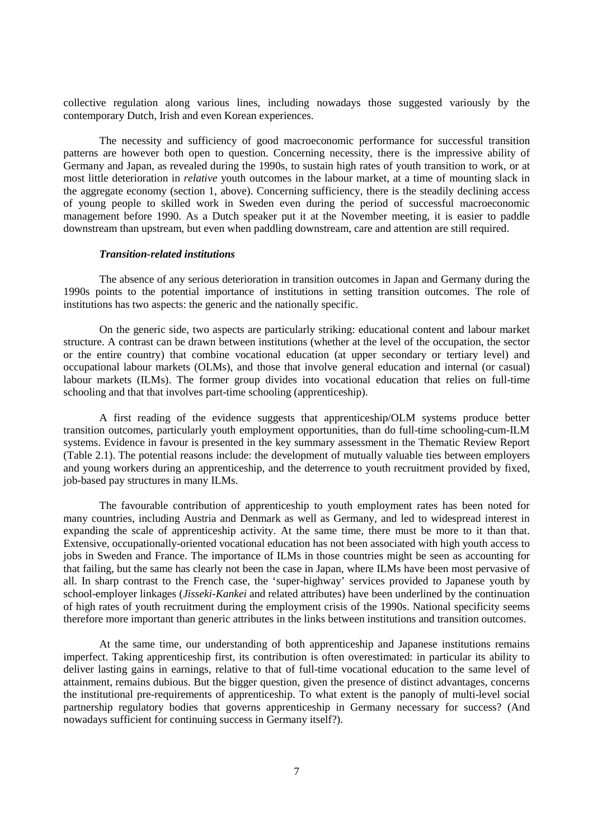collective regulation along various lines, including nowadays those suggested variously by the contemporary Dutch, Irish and even Korean experiences.

The necessity and sufficiency of good macroeconomic performance for successful transition patterns are however both open to question. Concerning necessity, there is the impressive ability of Germany and Japan, as revealed during the 1990s, to sustain high rates of youth transition to work, or at most little deterioration in *relative* youth outcomes in the labour market, at a time of mounting slack in the aggregate economy (section 1, above). Concerning sufficiency, there is the steadily declining access of young people to skilled work in Sweden even during the period of successful macroeconomic management before 1990. As a Dutch speaker put it at the November meeting, it is easier to paddle downstream than upstream, but even when paddling downstream, care and attention are still required.

#### *Transition-related institutions*

The absence of any serious deterioration in transition outcomes in Japan and Germany during the 1990s points to the potential importance of institutions in setting transition outcomes. The role of institutions has two aspects: the generic and the nationally specific.

On the generic side, two aspects are particularly striking: educational content and labour market structure. A contrast can be drawn between institutions (whether at the level of the occupation, the sector or the entire country) that combine vocational education (at upper secondary or tertiary level) and occupational labour markets (OLMs), and those that involve general education and internal (or casual) labour markets (ILMs). The former group divides into vocational education that relies on full-time schooling and that that involves part-time schooling (apprenticeship).

A first reading of the evidence suggests that apprenticeship/OLM systems produce better transition outcomes, particularly youth employment opportunities, than do full-time schooling-cum-ILM systems. Evidence in favour is presented in the key summary assessment in the Thematic Review Report (Table 2.1). The potential reasons include: the development of mutually valuable ties between employers and young workers during an apprenticeship, and the deterrence to youth recruitment provided by fixed, job-based pay structures in many ILMs.

The favourable contribution of apprenticeship to youth employment rates has been noted for many countries, including Austria and Denmark as well as Germany, and led to widespread interest in expanding the scale of apprenticeship activity. At the same time, there must be more to it than that. Extensive, occupationally-oriented vocational education has not been associated with high youth access to jobs in Sweden and France. The importance of ILMs in those countries might be seen as accounting for that failing, but the same has clearly not been the case in Japan, where ILMs have been most pervasive of all. In sharp contrast to the French case, the 'super-highway' services provided to Japanese youth by school-employer linkages (*Jisseki-Kankei* and related attributes) have been underlined by the continuation of high rates of youth recruitment during the employment crisis of the 1990s. National specificity seems therefore more important than generic attributes in the links between institutions and transition outcomes.

At the same time, our understanding of both apprenticeship and Japanese institutions remains imperfect. Taking apprenticeship first, its contribution is often overestimated: in particular its ability to deliver lasting gains in earnings, relative to that of full-time vocational education to the same level of attainment, remains dubious. But the bigger question, given the presence of distinct advantages, concerns the institutional pre-requirements of apprenticeship. To what extent is the panoply of multi-level social partnership regulatory bodies that governs apprenticeship in Germany necessary for success? (And nowadays sufficient for continuing success in Germany itself?).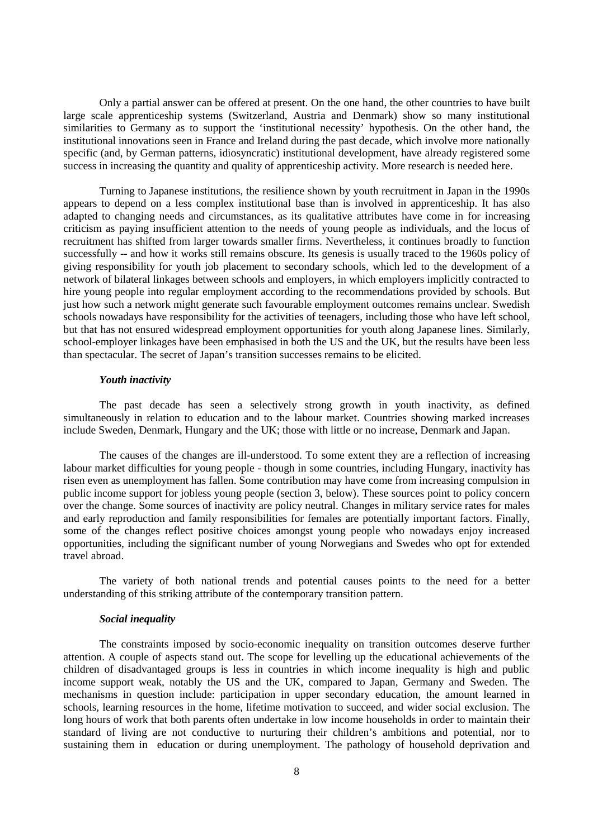Only a partial answer can be offered at present. On the one hand, the other countries to have built large scale apprenticeship systems (Switzerland, Austria and Denmark) show so many institutional similarities to Germany as to support the 'institutional necessity' hypothesis. On the other hand, the institutional innovations seen in France and Ireland during the past decade, which involve more nationally specific (and, by German patterns, idiosyncratic) institutional development, have already registered some success in increasing the quantity and quality of apprenticeship activity. More research is needed here.

Turning to Japanese institutions, the resilience shown by youth recruitment in Japan in the 1990s appears to depend on a less complex institutional base than is involved in apprenticeship. It has also adapted to changing needs and circumstances, as its qualitative attributes have come in for increasing criticism as paying insufficient attention to the needs of young people as individuals, and the locus of recruitment has shifted from larger towards smaller firms. Nevertheless, it continues broadly to function successfully -- and how it works still remains obscure. Its genesis is usually traced to the 1960s policy of giving responsibility for youth job placement to secondary schools, which led to the development of a network of bilateral linkages between schools and employers, in which employers implicitly contracted to hire young people into regular employment according to the recommendations provided by schools. But just how such a network might generate such favourable employment outcomes remains unclear. Swedish schools nowadays have responsibility for the activities of teenagers, including those who have left school, but that has not ensured widespread employment opportunities for youth along Japanese lines. Similarly, school-employer linkages have been emphasised in both the US and the UK, but the results have been less than spectacular. The secret of Japan's transition successes remains to be elicited.

#### *Youth inactivity*

The past decade has seen a selectively strong growth in youth inactivity, as defined simultaneously in relation to education and to the labour market. Countries showing marked increases include Sweden, Denmark, Hungary and the UK; those with little or no increase, Denmark and Japan.

The causes of the changes are ill-understood. To some extent they are a reflection of increasing labour market difficulties for young people - though in some countries, including Hungary, inactivity has risen even as unemployment has fallen. Some contribution may have come from increasing compulsion in public income support for jobless young people (section 3, below). These sources point to policy concern over the change. Some sources of inactivity are policy neutral. Changes in military service rates for males and early reproduction and family responsibilities for females are potentially important factors. Finally, some of the changes reflect positive choices amongst young people who nowadays enjoy increased opportunities, including the significant number of young Norwegians and Swedes who opt for extended travel abroad.

The variety of both national trends and potential causes points to the need for a better understanding of this striking attribute of the contemporary transition pattern.

#### *Social inequality*

The constraints imposed by socio-economic inequality on transition outcomes deserve further attention. A couple of aspects stand out. The scope for levelling up the educational achievements of the children of disadvantaged groups is less in countries in which income inequality is high and public income support weak, notably the US and the UK, compared to Japan, Germany and Sweden. The mechanisms in question include: participation in upper secondary education, the amount learned in schools, learning resources in the home, lifetime motivation to succeed, and wider social exclusion. The long hours of work that both parents often undertake in low income households in order to maintain their standard of living are not conductive to nurturing their children's ambitions and potential, nor to sustaining them in education or during unemployment. The pathology of household deprivation and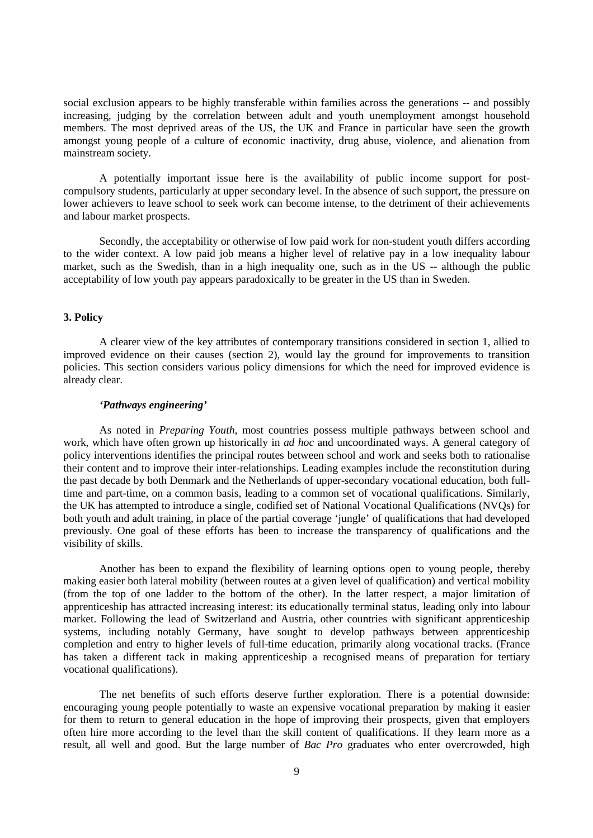social exclusion appears to be highly transferable within families across the generations -- and possibly increasing, judging by the correlation between adult and youth unemployment amongst household members. The most deprived areas of the US, the UK and France in particular have seen the growth amongst young people of a culture of economic inactivity, drug abuse, violence, and alienation from mainstream society.

A potentially important issue here is the availability of public income support for postcompulsory students, particularly at upper secondary level. In the absence of such support, the pressure on lower achievers to leave school to seek work can become intense, to the detriment of their achievements and labour market prospects.

Secondly, the acceptability or otherwise of low paid work for non-student youth differs according to the wider context. A low paid job means a higher level of relative pay in a low inequality labour market, such as the Swedish, than in a high inequality one, such as in the US -- although the public acceptability of low youth pay appears paradoxically to be greater in the US than in Sweden.

# **3. Policy**

A clearer view of the key attributes of contemporary transitions considered in section 1, allied to improved evidence on their causes (section 2), would lay the ground for improvements to transition policies. This section considers various policy dimensions for which the need for improved evidence is already clear.

#### *'Pathways engineering'*

As noted in *Preparing Youth*, most countries possess multiple pathways between school and work, which have often grown up historically in *ad hoc* and uncoordinated ways. A general category of policy interventions identifies the principal routes between school and work and seeks both to rationalise their content and to improve their inter-relationships. Leading examples include the reconstitution during the past decade by both Denmark and the Netherlands of upper-secondary vocational education, both fulltime and part-time, on a common basis, leading to a common set of vocational qualifications. Similarly, the UK has attempted to introduce a single, codified set of National Vocational Qualifications (NVQs) for both youth and adult training, in place of the partial coverage 'jungle' of qualifications that had developed previously. One goal of these efforts has been to increase the transparency of qualifications and the visibility of skills.

Another has been to expand the flexibility of learning options open to young people, thereby making easier both lateral mobility (between routes at a given level of qualification) and vertical mobility (from the top of one ladder to the bottom of the other). In the latter respect, a major limitation of apprenticeship has attracted increasing interest: its educationally terminal status, leading only into labour market. Following the lead of Switzerland and Austria, other countries with significant apprenticeship systems, including notably Germany, have sought to develop pathways between apprenticeship completion and entry to higher levels of full-time education, primarily along vocational tracks. (France has taken a different tack in making apprenticeship a recognised means of preparation for tertiary vocational qualifications).

The net benefits of such efforts deserve further exploration. There is a potential downside: encouraging young people potentially to waste an expensive vocational preparation by making it easier for them to return to general education in the hope of improving their prospects, given that employers often hire more according to the level than the skill content of qualifications. If they learn more as a result, all well and good. But the large number of *Bac Pro* graduates who enter overcrowded, high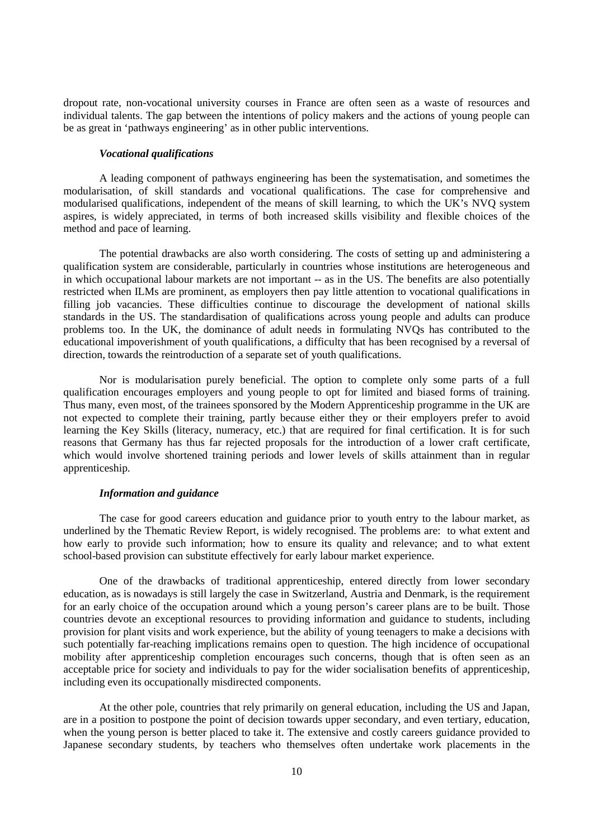dropout rate, non-vocational university courses in France are often seen as a waste of resources and individual talents. The gap between the intentions of policy makers and the actions of young people can be as great in 'pathways engineering' as in other public interventions.

#### *Vocational qualifications*

A leading component of pathways engineering has been the systematisation, and sometimes the modularisation, of skill standards and vocational qualifications. The case for comprehensive and modularised qualifications, independent of the means of skill learning, to which the UK's NVQ system aspires, is widely appreciated, in terms of both increased skills visibility and flexible choices of the method and pace of learning.

The potential drawbacks are also worth considering. The costs of setting up and administering a qualification system are considerable, particularly in countries whose institutions are heterogeneous and in which occupational labour markets are not important -- as in the US. The benefits are also potentially restricted when ILMs are prominent, as employers then pay little attention to vocational qualifications in filling job vacancies. These difficulties continue to discourage the development of national skills standards in the US. The standardisation of qualifications across young people and adults can produce problems too. In the UK, the dominance of adult needs in formulating NVQs has contributed to the educational impoverishment of youth qualifications, a difficulty that has been recognised by a reversal of direction, towards the reintroduction of a separate set of youth qualifications.

Nor is modularisation purely beneficial. The option to complete only some parts of a full qualification encourages employers and young people to opt for limited and biased forms of training. Thus many, even most, of the trainees sponsored by the Modern Apprenticeship programme in the UK are not expected to complete their training, partly because either they or their employers prefer to avoid learning the Key Skills (literacy, numeracy, etc.) that are required for final certification. It is for such reasons that Germany has thus far rejected proposals for the introduction of a lower craft certificate, which would involve shortened training periods and lower levels of skills attainment than in regular apprenticeship.

#### *Information and guidance*

The case for good careers education and guidance prior to youth entry to the labour market, as underlined by the Thematic Review Report, is widely recognised. The problems are: to what extent and how early to provide such information; how to ensure its quality and relevance; and to what extent school-based provision can substitute effectively for early labour market experience.

One of the drawbacks of traditional apprenticeship, entered directly from lower secondary education, as is nowadays is still largely the case in Switzerland, Austria and Denmark, is the requirement for an early choice of the occupation around which a young person's career plans are to be built. Those countries devote an exceptional resources to providing information and guidance to students, including provision for plant visits and work experience, but the ability of young teenagers to make a decisions with such potentially far-reaching implications remains open to question. The high incidence of occupational mobility after apprenticeship completion encourages such concerns, though that is often seen as an acceptable price for society and individuals to pay for the wider socialisation benefits of apprenticeship, including even its occupationally misdirected components.

At the other pole, countries that rely primarily on general education, including the US and Japan, are in a position to postpone the point of decision towards upper secondary, and even tertiary, education, when the young person is better placed to take it. The extensive and costly careers guidance provided to Japanese secondary students, by teachers who themselves often undertake work placements in the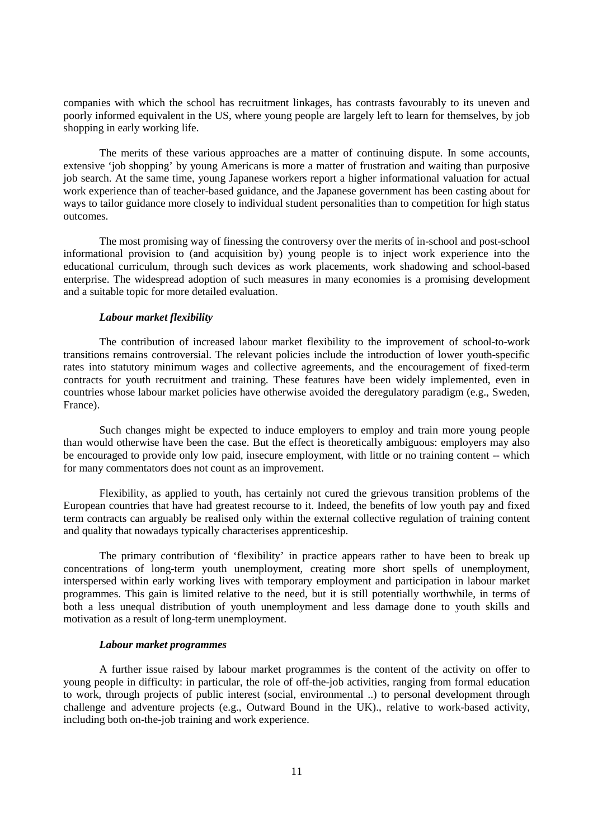companies with which the school has recruitment linkages, has contrasts favourably to its uneven and poorly informed equivalent in the US, where young people are largely left to learn for themselves, by job shopping in early working life.

The merits of these various approaches are a matter of continuing dispute. In some accounts, extensive 'job shopping' by young Americans is more a matter of frustration and waiting than purposive job search. At the same time, young Japanese workers report a higher informational valuation for actual work experience than of teacher-based guidance, and the Japanese government has been casting about for ways to tailor guidance more closely to individual student personalities than to competition for high status outcomes.

The most promising way of finessing the controversy over the merits of in-school and post-school informational provision to (and acquisition by) young people is to inject work experience into the educational curriculum, through such devices as work placements, work shadowing and school-based enterprise. The widespread adoption of such measures in many economies is a promising development and a suitable topic for more detailed evaluation.

## *Labour market flexibility*

The contribution of increased labour market flexibility to the improvement of school-to-work transitions remains controversial. The relevant policies include the introduction of lower youth-specific rates into statutory minimum wages and collective agreements, and the encouragement of fixed-term contracts for youth recruitment and training. These features have been widely implemented, even in countries whose labour market policies have otherwise avoided the deregulatory paradigm (e.g., Sweden, France).

Such changes might be expected to induce employers to employ and train more young people than would otherwise have been the case. But the effect is theoretically ambiguous: employers may also be encouraged to provide only low paid, insecure employment, with little or no training content -- which for many commentators does not count as an improvement.

Flexibility, as applied to youth, has certainly not cured the grievous transition problems of the European countries that have had greatest recourse to it. Indeed, the benefits of low youth pay and fixed term contracts can arguably be realised only within the external collective regulation of training content and quality that nowadays typically characterises apprenticeship.

The primary contribution of 'flexibility' in practice appears rather to have been to break up concentrations of long-term youth unemployment, creating more short spells of unemployment, interspersed within early working lives with temporary employment and participation in labour market programmes. This gain is limited relative to the need, but it is still potentially worthwhile, in terms of both a less unequal distribution of youth unemployment and less damage done to youth skills and motivation as a result of long-term unemployment.

## *Labour market programmes*

A further issue raised by labour market programmes is the content of the activity on offer to young people in difficulty: in particular, the role of off-the-job activities, ranging from formal education to work, through projects of public interest (social, environmental ..) to personal development through challenge and adventure projects (e.g., Outward Bound in the UK)., relative to work-based activity, including both on-the-job training and work experience.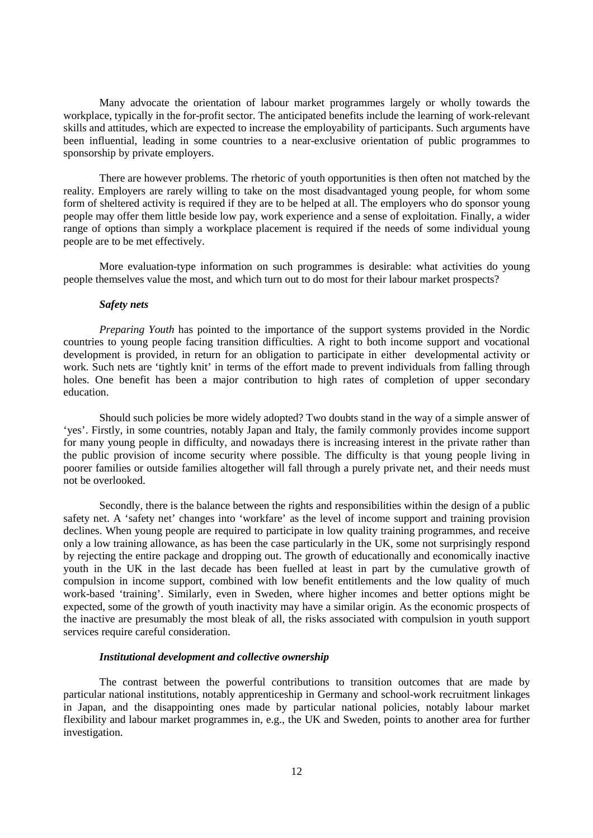Many advocate the orientation of labour market programmes largely or wholly towards the workplace, typically in the for-profit sector. The anticipated benefits include the learning of work-relevant skills and attitudes, which are expected to increase the employability of participants. Such arguments have been influential, leading in some countries to a near-exclusive orientation of public programmes to sponsorship by private employers.

There are however problems. The rhetoric of youth opportunities is then often not matched by the reality. Employers are rarely willing to take on the most disadvantaged young people, for whom some form of sheltered activity is required if they are to be helped at all. The employers who do sponsor young people may offer them little beside low pay, work experience and a sense of exploitation. Finally, a wider range of options than simply a workplace placement is required if the needs of some individual young people are to be met effectively.

More evaluation-type information on such programmes is desirable: what activities do young people themselves value the most, and which turn out to do most for their labour market prospects?

#### *Safety nets*

*Preparing Youth* has pointed to the importance of the support systems provided in the Nordic countries to young people facing transition difficulties. A right to both income support and vocational development is provided, in return for an obligation to participate in either developmental activity or work. Such nets are 'tightly knit' in terms of the effort made to prevent individuals from falling through holes. One benefit has been a major contribution to high rates of completion of upper secondary education.

Should such policies be more widely adopted? Two doubts stand in the way of a simple answer of 'yes'. Firstly, in some countries, notably Japan and Italy, the family commonly provides income support for many young people in difficulty, and nowadays there is increasing interest in the private rather than the public provision of income security where possible. The difficulty is that young people living in poorer families or outside families altogether will fall through a purely private net, and their needs must not be overlooked.

Secondly, there is the balance between the rights and responsibilities within the design of a public safety net. A 'safety net' changes into 'workfare' as the level of income support and training provision declines. When young people are required to participate in low quality training programmes, and receive only a low training allowance, as has been the case particularly in the UK, some not surprisingly respond by rejecting the entire package and dropping out. The growth of educationally and economically inactive youth in the UK in the last decade has been fuelled at least in part by the cumulative growth of compulsion in income support, combined with low benefit entitlements and the low quality of much work-based 'training'. Similarly, even in Sweden, where higher incomes and better options might be expected, some of the growth of youth inactivity may have a similar origin. As the economic prospects of the inactive are presumably the most bleak of all, the risks associated with compulsion in youth support services require careful consideration.

#### *Institutional development and collective ownership*

The contrast between the powerful contributions to transition outcomes that are made by particular national institutions, notably apprenticeship in Germany and school-work recruitment linkages in Japan, and the disappointing ones made by particular national policies, notably labour market flexibility and labour market programmes in, e.g., the UK and Sweden, points to another area for further investigation.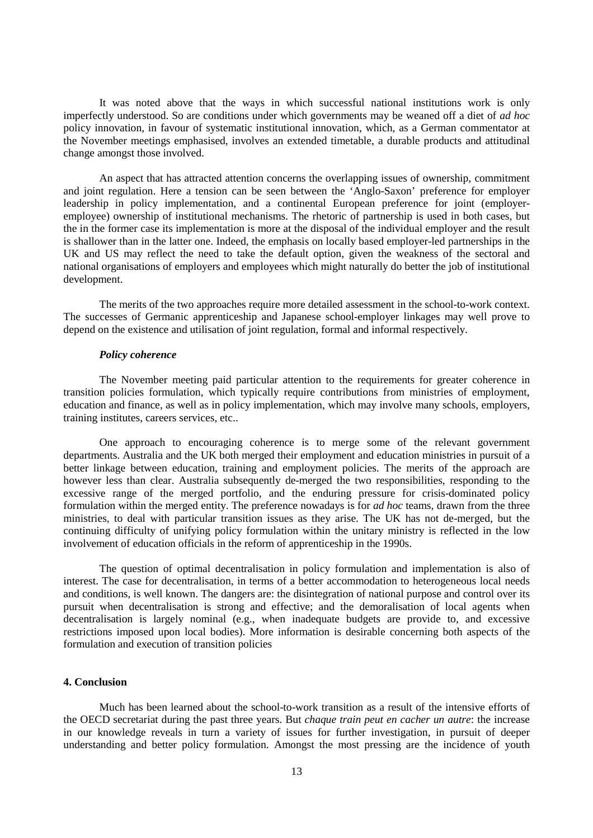It was noted above that the ways in which successful national institutions work is only imperfectly understood. So are conditions under which governments may be weaned off a diet of *ad hoc* policy innovation, in favour of systematic institutional innovation, which, as a German commentator at the November meetings emphasised, involves an extended timetable, a durable products and attitudinal change amongst those involved.

An aspect that has attracted attention concerns the overlapping issues of ownership, commitment and joint regulation. Here a tension can be seen between the 'Anglo-Saxon' preference for employer leadership in policy implementation, and a continental European preference for joint (employeremployee) ownership of institutional mechanisms. The rhetoric of partnership is used in both cases, but the in the former case its implementation is more at the disposal of the individual employer and the result is shallower than in the latter one. Indeed, the emphasis on locally based employer-led partnerships in the UK and US may reflect the need to take the default option, given the weakness of the sectoral and national organisations of employers and employees which might naturally do better the job of institutional development.

The merits of the two approaches require more detailed assessment in the school-to-work context. The successes of Germanic apprenticeship and Japanese school-employer linkages may well prove to depend on the existence and utilisation of joint regulation, formal and informal respectively.

## *Policy coherence*

The November meeting paid particular attention to the requirements for greater coherence in transition policies formulation, which typically require contributions from ministries of employment, education and finance, as well as in policy implementation, which may involve many schools, employers, training institutes, careers services, etc..

One approach to encouraging coherence is to merge some of the relevant government departments. Australia and the UK both merged their employment and education ministries in pursuit of a better linkage between education, training and employment policies. The merits of the approach are however less than clear. Australia subsequently de-merged the two responsibilities, responding to the excessive range of the merged portfolio, and the enduring pressure for crisis-dominated policy formulation within the merged entity. The preference nowadays is for *ad hoc* teams, drawn from the three ministries, to deal with particular transition issues as they arise. The UK has not de-merged, but the continuing difficulty of unifying policy formulation within the unitary ministry is reflected in the low involvement of education officials in the reform of apprenticeship in the 1990s.

The question of optimal decentralisation in policy formulation and implementation is also of interest. The case for decentralisation, in terms of a better accommodation to heterogeneous local needs and conditions, is well known. The dangers are: the disintegration of national purpose and control over its pursuit when decentralisation is strong and effective; and the demoralisation of local agents when decentralisation is largely nominal (e.g., when inadequate budgets are provide to, and excessive restrictions imposed upon local bodies). More information is desirable concerning both aspects of the formulation and execution of transition policies

# **4. Conclusion**

Much has been learned about the school-to-work transition as a result of the intensive efforts of the OECD secretariat during the past three years. But *chaque train peut en cacher un autre*: the increase in our knowledge reveals in turn a variety of issues for further investigation, in pursuit of deeper understanding and better policy formulation. Amongst the most pressing are the incidence of youth